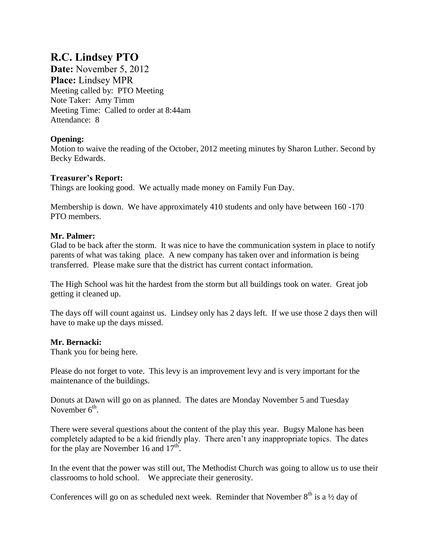# **R.C. Lindsey PTO**

**Date:** November 5, 2012 **Place:** Lindsey MPR Meeting called by: PTO Meeting Note Taker: Amy Timm Meeting Time: Called to order at 8:44am Attendance: 8

## **Opening:**

Motion to waive the reading of the October, 2012 meeting minutes by Sharon Luther. Second by Becky Edwards.

### **Treasurer's Report:**

Things are looking good. We actually made money on Family Fun Day.

Membership is down. We have approximately 410 students and only have between 160 -170 PTO members.

## **Mr. Palmer:**

Glad to be back after the storm. It was nice to have the communication system in place to notify parents of what was taking place. A new company has taken over and information is being transferred. Please make sure that the district has current contact information.

The High School was hit the hardest from the storm but all buildings took on water. Great job getting it cleaned up.

The days off will count against us. Lindsey only has 2 days left. If we use those 2 days then will have to make up the days missed.

# **Mr. Bernacki:**

Thank you for being here.

Please do not forget to vote. This levy is an improvement levy and is very important for the maintenance of the buildings.

Donuts at Dawn will go on as planned. The dates are Monday November 5 and Tuesday November  $6<sup>th</sup>$ .

There were several questions about the content of the play this year. Bugsy Malone has been completely adapted to be a kid friendly play. There aren't any inappropriate topics. The dates for the play are November 16 and  $17<sup>th</sup>$ .

In the event that the power was still out, The Methodist Church was going to allow us to use their classrooms to hold school. We appreciate their generosity.

Conferences will go on as scheduled next week. Reminder that November  $8<sup>th</sup>$  is a  $\frac{1}{2}$  day of